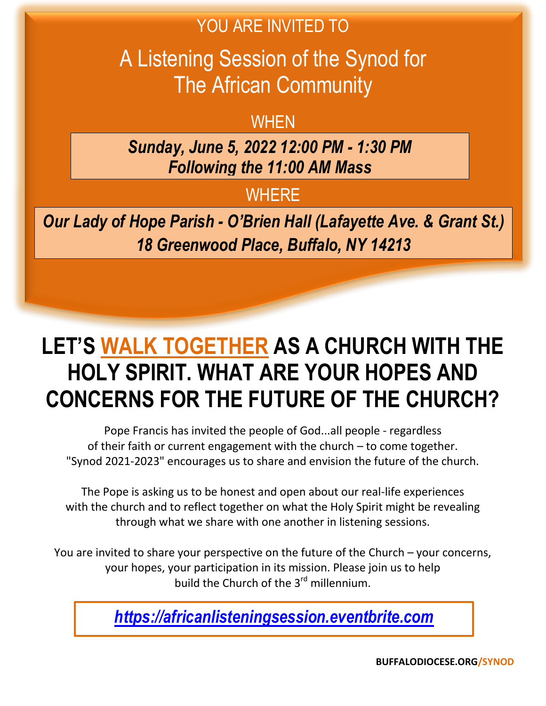### YOU ARE INVITED TO

A Listening Session of the Synod for The African Community

## **WHEN**

*Sunday, June 5, 2022 12:00 PM - 1:30 PM Following the 11:00 AM Mass*

## **WHERE**

*Our Lady of Hope Parish - O'Brien Hall (Lafayette Ave. & Grant St.) 18 Greenwood Place, Buffalo, NY 14213*

# **LET'S WALK TOGETHER AS A CHURCH WITH THE HOLY SPIRIT. WHAT ARE YOUR HOPES AND CONCERNS FOR THE FUTURE OF THE CHURCH?**

Pope Francis has invited the people of God...all people - regardless of their faith or current engagement with the church – to come together. "Synod 2021-2023" encourages us to share and envision the future of the church.

The Pope is asking us to be honest and open about our real-life experiences with the church and to reflect together on what the Holy Spirit might be revealing through what we share with one another in listening sessions.

You are invited to share your perspective on the future of the Church – your concerns, your hopes, your participation in its mission. Please join us to help build the Church of the 3<sup>rd</sup> millennium.

*[https://africanlisteningsession.eventbrite.com](https://africanlisteningsession.eventbrite.com/)*